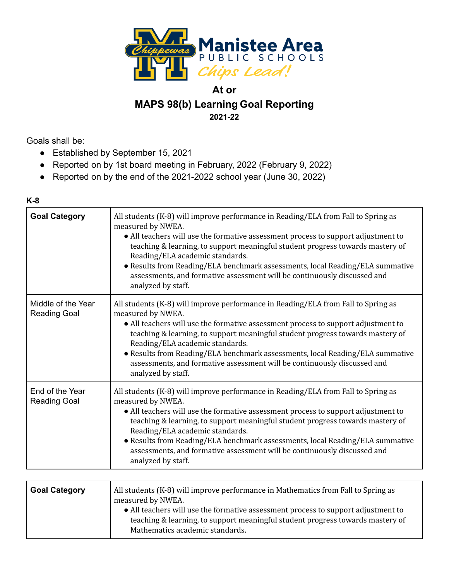

## **At or MAPS 98(b) Learning Goal Reporting 2021-22**

Goals shall be:

- Established by September 15, 2021
- Reported on by 1st board meeting in February, 2022 (February 9, 2022)
- Reported on by the end of the 2021-2022 school year (June 30, 2022)

### **K-8**

| <b>Goal Category</b>                      | All students (K-8) will improve performance in Reading/ELA from Fall to Spring as<br>measured by NWEA.<br>• All teachers will use the formative assessment process to support adjustment to<br>teaching & learning, to support meaningful student progress towards mastery of<br>Reading/ELA academic standards.<br>• Results from Reading/ELA benchmark assessments, local Reading/ELA summative<br>assessments, and formative assessment will be continuously discussed and<br>analyzed by staff. |
|-------------------------------------------|-----------------------------------------------------------------------------------------------------------------------------------------------------------------------------------------------------------------------------------------------------------------------------------------------------------------------------------------------------------------------------------------------------------------------------------------------------------------------------------------------------|
| Middle of the Year<br><b>Reading Goal</b> | All students (K-8) will improve performance in Reading/ELA from Fall to Spring as<br>measured by NWEA.<br>• All teachers will use the formative assessment process to support adjustment to<br>teaching & learning, to support meaningful student progress towards mastery of<br>Reading/ELA academic standards.<br>• Results from Reading/ELA benchmark assessments, local Reading/ELA summative<br>assessments, and formative assessment will be continuously discussed and<br>analyzed by staff. |
| End of the Year<br><b>Reading Goal</b>    | All students (K-8) will improve performance in Reading/ELA from Fall to Spring as<br>measured by NWEA.<br>• All teachers will use the formative assessment process to support adjustment to<br>teaching & learning, to support meaningful student progress towards mastery of<br>Reading/ELA academic standards.<br>• Results from Reading/ELA benchmark assessments, local Reading/ELA summative<br>assessments, and formative assessment will be continuously discussed and<br>analyzed by staff. |
|                                           |                                                                                                                                                                                                                                                                                                                                                                                                                                                                                                     |

|  | <b>Goal Category</b> | All students (K-8) will improve performance in Mathematics from Fall to Spring as<br>measured by NWEA.<br>• All teachers will use the formative assessment process to support adjustment to<br>teaching & learning, to support meaningful student progress towards mastery of<br>Mathematics academic standards. |
|--|----------------------|------------------------------------------------------------------------------------------------------------------------------------------------------------------------------------------------------------------------------------------------------------------------------------------------------------------|
|--|----------------------|------------------------------------------------------------------------------------------------------------------------------------------------------------------------------------------------------------------------------------------------------------------------------------------------------------------|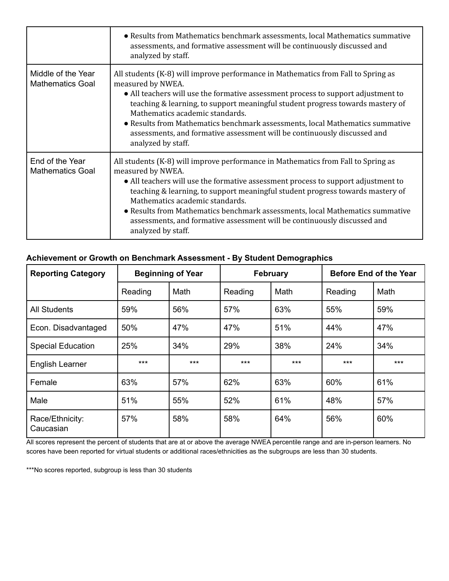|                                               | • Results from Mathematics benchmark assessments, local Mathematics summative<br>assessments, and formative assessment will be continuously discussed and<br>analyzed by staff.                                                                                                                                                                                                                                                                                                                     |
|-----------------------------------------------|-----------------------------------------------------------------------------------------------------------------------------------------------------------------------------------------------------------------------------------------------------------------------------------------------------------------------------------------------------------------------------------------------------------------------------------------------------------------------------------------------------|
| Middle of the Year<br><b>Mathematics Goal</b> | All students (K-8) will improve performance in Mathematics from Fall to Spring as<br>measured by NWEA.<br>• All teachers will use the formative assessment process to support adjustment to<br>teaching & learning, to support meaningful student progress towards mastery of<br>Mathematics academic standards.<br>• Results from Mathematics benchmark assessments, local Mathematics summative<br>assessments, and formative assessment will be continuously discussed and<br>analyzed by staff. |
| End of the Year<br><b>Mathematics Goal</b>    | All students (K-8) will improve performance in Mathematics from Fall to Spring as<br>measured by NWEA.<br>• All teachers will use the formative assessment process to support adjustment to<br>teaching & learning, to support meaningful student progress towards mastery of<br>Mathematics academic standards.<br>• Results from Mathematics benchmark assessments, local Mathematics summative<br>assessments, and formative assessment will be continuously discussed and<br>analyzed by staff. |

### **Achievement or Growth on Benchmark Assessment - By Student Demographics**

| <b>Reporting Category</b>    | <b>Beginning of Year</b> |       | February |       | <b>Before End of the Year</b> |       |
|------------------------------|--------------------------|-------|----------|-------|-------------------------------|-------|
|                              | Reading                  | Math  | Reading  | Math  | Reading                       | Math  |
| <b>All Students</b>          | 59%                      | 56%   | 57%      | 63%   | 55%                           | 59%   |
| Econ. Disadvantaged          | 50%                      | 47%   | 47%      | 51%   | 44%                           | 47%   |
| <b>Special Education</b>     | 25%                      | 34%   | 29%      | 38%   | 24%                           | 34%   |
| <b>English Learner</b>       | $***$                    | $***$ | $***$    | $***$ | $***$                         | $***$ |
| Female                       | 63%                      | 57%   | 62%      | 63%   | 60%                           | 61%   |
| Male                         | 51%                      | 55%   | 52%      | 61%   | 48%                           | 57%   |
| Race/Ethnicity:<br>Caucasian | 57%                      | 58%   | 58%      | 64%   | 56%                           | 60%   |

All scores represent the percent of students that are at or above the average NWEA percentile range and are in-person learners. No scores have been reported for virtual students or additional races/ethnicities as the subgroups are less than 30 students.

\*\*\*No scores reported, subgroup is less than 30 students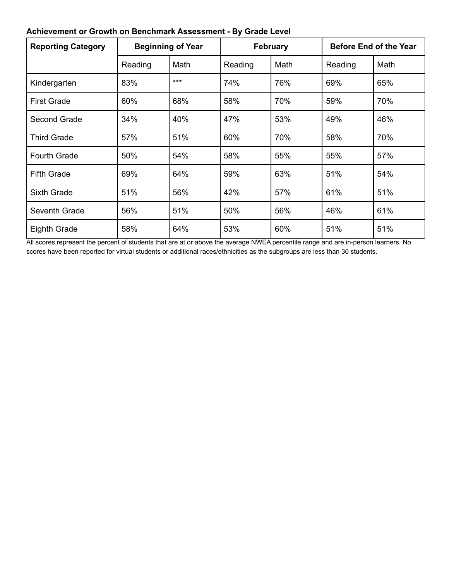### **Achievement or Growth on Benchmark Assessment - By Grade Level**

| <b>Reporting Category</b> | <b>Beginning of Year</b> |      | <b>February</b> |      | <b>Before End of the Year</b> |      |
|---------------------------|--------------------------|------|-----------------|------|-------------------------------|------|
|                           | Reading                  | Math | Reading         | Math | Reading                       | Math |
| Kindergarten              | 83%                      | ***  | 74%             | 76%  | 69%                           | 65%  |
| <b>First Grade</b>        | 60%                      | 68%  | 58%             | 70%  | 59%                           | 70%  |
| Second Grade              | 34%                      | 40%  | 47%             | 53%  | 49%                           | 46%  |
| <b>Third Grade</b>        | 57%                      | 51%  | 60%             | 70%  | 58%                           | 70%  |
| <b>Fourth Grade</b>       | 50%                      | 54%  | 58%             | 55%  | 55%                           | 57%  |
| <b>Fifth Grade</b>        | 69%                      | 64%  | 59%             | 63%  | 51%                           | 54%  |
| <b>Sixth Grade</b>        | 51%                      | 56%  | 42%             | 57%  | 61%                           | 51%  |
| Seventh Grade             | 56%                      | 51%  | 50%             | 56%  | 46%                           | 61%  |
| Eighth Grade              | 58%                      | 64%  | 53%             | 60%  | 51%                           | 51%  |

All scores represent the percent of students that are at or above the average NWEA percentile range and are in-person learners. No scores have been reported for virtual students or additional races/ethnicities as the subgroups are less than 30 students.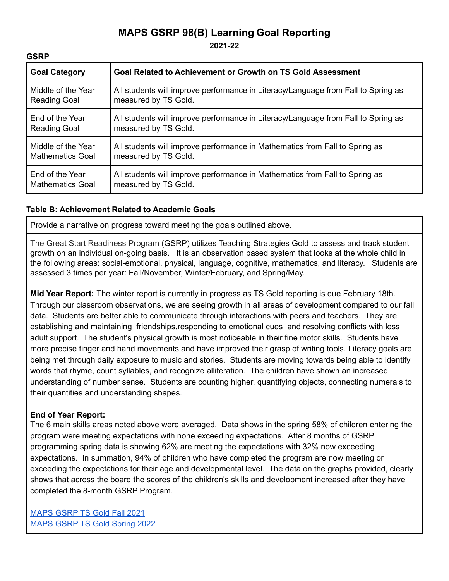# **MAPS GSRP 98(B) Learning Goal Reporting**

**2021-22**

| <b>Goal Category</b>    | Goal Related to Achievement or Growth on TS Gold Assessment                       |
|-------------------------|-----------------------------------------------------------------------------------|
| Middle of the Year      | All students will improve performance in Literacy/Language from Fall to Spring as |
| <b>Reading Goal</b>     | measured by TS Gold.                                                              |
| End of the Year         | All students will improve performance in Literacy/Language from Fall to Spring as |
| <b>Reading Goal</b>     | measured by TS Gold.                                                              |
| Middle of the Year      | All students will improve performance in Mathematics from Fall to Spring as       |
| <b>Mathematics Goal</b> | measured by TS Gold.                                                              |
| End of the Year         | All students will improve performance in Mathematics from Fall to Spring as       |
| <b>Mathematics Goal</b> | measured by TS Gold.                                                              |

### **Table B: Achievement Related to Academic Goals**

Provide a narrative on progress toward meeting the goals outlined above.

The Great Start Readiness Program (GSRP) utilizes Teaching Strategies Gold to assess and track student growth on an individual on-going basis. It is an observation based system that looks at the whole child in the following areas: social-emotional, physical, language, cognitive, mathematics, and literacy. Students are assessed 3 times per year: Fall/November, Winter/February, and Spring/May.

**Mid Year Report:** The winter report is currently in progress as TS Gold reporting is due February 18th. Through our classroom observations, we are seeing growth in all areas of development compared to our fall data. Students are better able to communicate through interactions with peers and teachers. They are establishing and maintaining friendships,responding to emotional cues and resolving conflicts with less adult support. The student's physical growth is most noticeable in their fine motor skills. Students have more precise finger and hand movements and have improved their grasp of writing tools. Literacy goals are being met through daily exposure to music and stories. Students are moving towards being able to identify words that rhyme, count syllables, and recognize alliteration. The children have shown an increased understanding of number sense. Students are counting higher, quantifying objects, connecting numerals to their quantities and understanding shapes.

### **End of Year Report:**

**GSRP**

The 6 main skills areas noted above were averaged. Data shows in the spring 58% of children entering the program were meeting expectations with none exceeding expectations. After 8 months of GSRP programming spring data is showing 62% are meeting the expectations with 32% now exceeding expectations. In summation, 94% of children who have completed the program are now meeting or exceeding the expectations for their age and developmental level. The data on the graphs provided, clearly shows that across the board the scores of the children's skills and development increased after they have completed the 8-month GSRP Program.

[MAPS](https://drive.google.com/open?id=179QS6zksIrO8W0znNIUhzrA6dIc3lAKt) GSRP TS Gold Fall 2021 MAPS GSRP TS Gold [Spring](https://drive.google.com/open?id=17K92EBTPgoZyqeH89vtk_-OGfbqTbPjY) 2022